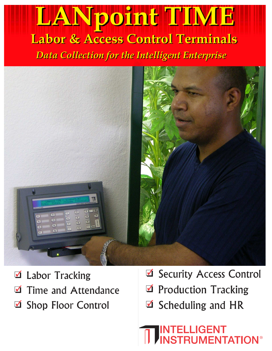# **LANpoint TIME Labor & Access Control Terminals Data Collection for the Intelligent Enterprise**



- **Labor Tracking**  $\blacktriangledown$
- Time and Attendance  $\blacktriangledown$
- **Shop Floor Control**  $\blacktriangledown$
- Security Access Control
- Production Tracking
- $\triangle$  Scheduling and HR

# **NTELLIGENT RUMENTATION®**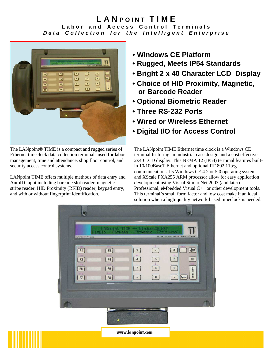### **L A N POINT TIME Labor and Access Control Terminals Data Collection for the Intelligent Enterprise**



The LANpoint® TIME is a compact and rugged series of Ethernet timeclock data collection terminals used for labor management, time and attendance, shop floor control, and security access control systems.

LANpoint TIME offers multiple methods of data entry and AutoID input including barcode slot reader, magnetic stripe reader, HID Proximity (RFID) reader, keypad entry, and with or without fingerprint identification.

- **Windows CE Platform**
- **Rugged, Meets IP54 Standards**
- **Bright 2 x 40 Character LCD Display**
- **Choice of HID Proximity, Magnetic, or Barcode Reader**
- **Optional Biometric Reader**
- **Three RS-232 Ports**
- **Wired or Wireless Ethernet**
- **Digital I/O for Access Control**

The LANpoint TIME Ethernet time clock is a Windows CE terminal featuring an industrial case design and a cost effective 2x40 LCD display. This NEMA 12 (IP54) terminal features builtin 10/100BaseT Ethernet and optional RF 802.11b/g communications. Its Windows CE 4.2 or 5.0 operating system and XScale PXA255 ARM processor allow for easy application development using Visual Studio.Net 2003 (and later) Professional, eMbedded Visual C++ or other development tools. This terminal's small form factor and low cost make it an ideal solution when a high-quality network-based timeclock is needed.



www.lanpoint.com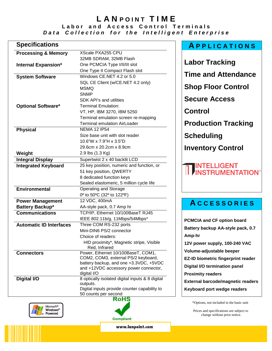### **LANPOINT TIME Labor and Access Control Terminals Data Collection for the Intelligent Enterprise**

| <b>Specifications</b>             |                                                                               | <b>APPLICATIONS</b>                      |
|-----------------------------------|-------------------------------------------------------------------------------|------------------------------------------|
| <b>Processing &amp; Memory</b>    | XScale PXA255 CPU                                                             |                                          |
|                                   | 32MB SDRAM, 32MB Flash                                                        |                                          |
| <b>Internal Expansion*</b>        | One PCMCIA Type I/II/III slot                                                 | <b>Labor Tracking</b>                    |
|                                   | One Type II Compact Flash slot                                                | <b>Time and Attendance</b>               |
| <b>System Software</b>            | Windows CE.NET 4.2 or 5.0                                                     |                                          |
|                                   | SQL CE Client (w/CE.NET 4.2 only)                                             |                                          |
|                                   | <b>MSMQ</b>                                                                   | <b>Shop Floor Control</b>                |
|                                   | <b>SNMP</b>                                                                   |                                          |
|                                   | SDK API's and utilities                                                       | <b>Secure Access</b>                     |
| <b>Optional Software*</b>         | <b>Terminal Emulation:</b>                                                    |                                          |
|                                   | VT, HP, IBM 3270, IBM 5250                                                    | <b>Control</b>                           |
|                                   | Terminal emulation screen re-mapping                                          |                                          |
|                                   | <b>Terminal emulation AirLoader</b>                                           | <b>Production Tracking</b>               |
| <b>Physical</b>                   | <b>NEMA 12 IP54</b>                                                           |                                          |
|                                   | Size base unit with slot reader<br>10.6"W x 7.9"H x 3.5"D                     | <b>Scheduling</b>                        |
|                                   | 29.6cm x 20.2cm x 8.9cm                                                       |                                          |
|                                   | 2.9 lbs (1.3 Kg)                                                              | <b>Inventory Control</b>                 |
| Weight<br><b>Integral Display</b> | Supertwist 2 x 40 backlit LCD                                                 |                                          |
| <b>Integrated Keyboard</b>        | 25 key position, numeric and function, or                                     |                                          |
|                                   | 51 key position, QWERTY                                                       | INTELLIGENT<br>INSTRUMENTATION®          |
|                                   | 8 dedicated function keys                                                     |                                          |
|                                   | Sealed elastomeric, 5 million cycle life                                      |                                          |
| <b>Environmental</b>              | Operating and Storage                                                         |                                          |
|                                   | 0° to 50°C (32° to 122°F)                                                     |                                          |
| <b>Power Management</b>           | 12 VDC, 400mA                                                                 |                                          |
| Battery Backup*                   | AA-style pack, 0.7 Amp hr                                                     | <b>ACCESSORIES</b>                       |
| <b>Communications</b>             | TCP/IP, Ethernet 10/100BaseT RJ45                                             |                                          |
|                                   | IEEE 802.11b/g, 11Mbps/54Mbps*                                                | <b>PCMCIA and CF option board</b>        |
| <b>Automatic ID Interfaces</b>    | Three COM RS-232 ports                                                        |                                          |
|                                   | Mini-DIN6 PS/2 connector                                                      | Battery backup AA-style pack, 0.7        |
|                                   | Choice of readers:                                                            | Amp-hr                                   |
|                                   | HID proximity*, Magnetic stripe, Visible                                      | 12V power supply, 100-240 VAC            |
|                                   | Red, Infrared                                                                 | Volume-adjustable beeper                 |
| <b>Connectors</b>                 | Power, Ethernet 10/100BaseT, COM1,                                            |                                          |
|                                   | COM2, COM3, external PS/2 keyboard,<br>battery backup, and one +3.3VDC, +5VDC | EZ-ID biometric fingerprint reader       |
|                                   | and +12VDC accessory power connector,                                         | Digital I/O termination panel            |
|                                   | digital I/O                                                                   | <b>Proximity readers</b>                 |
| Digital I/O                       | 8 optically isolated digital inputs & 8 digital                               |                                          |
|                                   | outputs.                                                                      | <b>External barcode/magnetic readers</b> |
|                                   | Digital inputs provide counter capability to                                  | Keyboard port wedge readers              |
|                                   | 50 counts per second<br><b>RoHS</b>                                           |                                          |
| Microcoff                         |                                                                               | *Options, not included in the basic unit |
|                                   |                                                                               |                                          |





Г



www.lanpoint.com